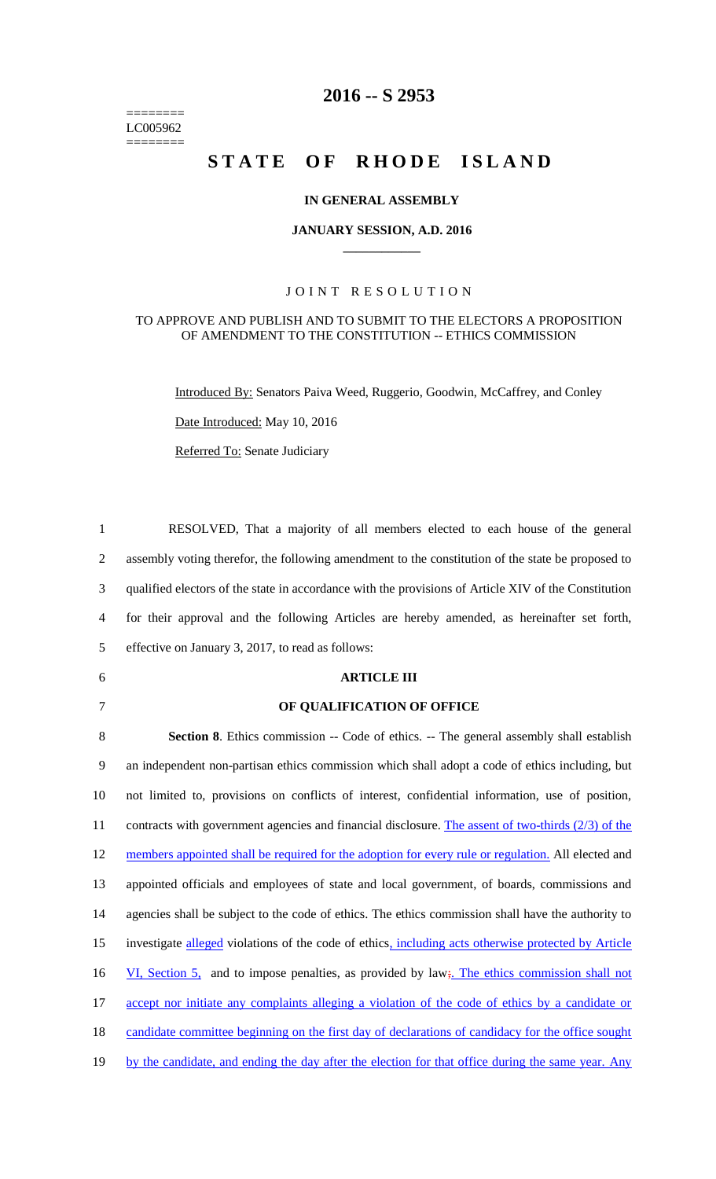======== LC005962  $=$ 

## **2016 -- S 2953**

# STATE OF RHODE ISLAND

## **IN GENERAL ASSEMBLY**

#### **JANUARY SESSION, A.D. 2016 \_\_\_\_\_\_\_\_\_\_\_\_**

## JOINT RESOLUTION

#### TO APPROVE AND PUBLISH AND TO SUBMIT TO THE ELECTORS A PROPOSITION OF AMENDMENT TO THE CONSTITUTION -- ETHICS COMMISSION

Introduced By: Senators Paiva Weed, Ruggerio, Goodwin, McCaffrey, and Conley

Date Introduced: May 10, 2016

Referred To: Senate Judiciary

| $\mathbf{1}$   | RESOLVED, That a majority of all members elected to each house of the general                        |
|----------------|------------------------------------------------------------------------------------------------------|
| $\overline{c}$ | assembly voting therefor, the following amendment to the constitution of the state be proposed to    |
| 3              | qualified electors of the state in accordance with the provisions of Article XIV of the Constitution |
| 4              | for their approval and the following Articles are hereby amended, as hereinafter set forth,          |
| 5              | effective on January 3, 2017, to read as follows:                                                    |
| 6              | <b>ARTICLE III</b>                                                                                   |
| $\tau$         | OF QUALIFICATION OF OFFICE                                                                           |
| 8              | <b>Section 8.</b> Ethics commission -- Code of ethics. -- The general assembly shall establish       |
| 9              | an independent non-partisan ethics commission which shall adopt a code of ethics including, but      |
| 10             | not limited to, provisions on conflicts of interest, confidential information, use of position,      |
| 11             | contracts with government agencies and financial disclosure. The assent of two-thirds $(2/3)$ of the |
| 12             | members appointed shall be required for the adoption for every rule or regulation. All elected and   |
| 13             | appointed officials and employees of state and local government, of boards, commissions and          |
| 14             | agencies shall be subject to the code of ethics. The ethics commission shall have the authority to   |
| 15             | investigate alleged violations of the code of ethics, including acts otherwise protected by Article  |
| 16             | VI, Section 5, and to impose penalties, as provided by law; The ethics commission shall not          |
| 17             | accept nor initiate any complaints alleging a violation of the code of ethics by a candidate or      |
| 18             | candidate committee beginning on the first day of declarations of candidacy for the office sought    |
| 19             | by the candidate, and ending the day after the election for that office during the same year. Any    |